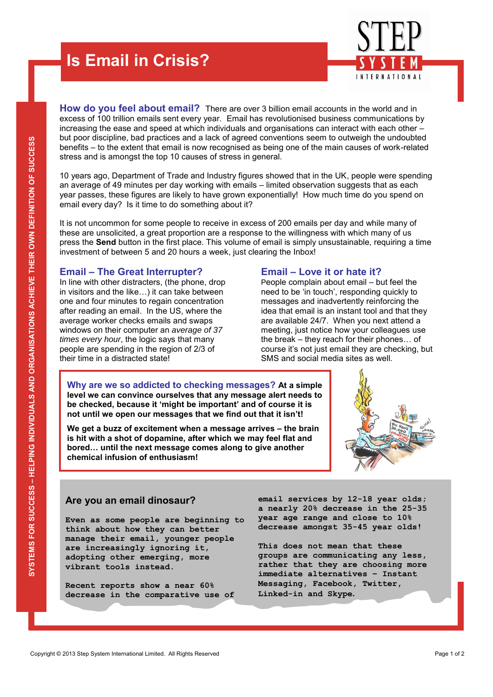## **Is Email in Crisis?**

INTERNATIONAL

**How do you feel about email?** There are over 3 billion email accounts in the world and in excess of 100 trillion emails sent every year. Email has revolutionised business communications by increasing the ease and speed at which individuals and organisations can interact with each other – but poor discipline, bad practices and a lack of agreed conventions seem to outweigh the undoubted benefits – to the extent that email is now recognised as being one of the main causes of work-related stress and is amongst the top 10 causes of stress in general.

10 years ago, Department of Trade and Industry figures showed that in the UK, people were spending an average of 49 minutes per day working with emails – limited observation suggests that as each year passes, these figures are likely to have grown exponentially! How much time do you spend on email every day? Is it time to do something about it?

It is not uncommon for some people to receive in excess of 200 emails per day and while many of these are unsolicited, a great proportion are a response to the willingness with which many of us press the **Send** button in the first place. This volume of email is simply unsustainable, requiring a time investment of between 5 and 20 hours a week, just clearing the Inbox!

## **Email – The Great Interrupter?**

In line with other distracters, (the phone, drop in visitors and the like…) it can take between one and four minutes to regain concentration after reading an email. In the US, where the average worker checks emails and swaps windows on their computer an *average of 37 times every hour*, the logic says that many people are spending in the region of 2/3 of their time in a distracted state!

#### **Email – Love it or hate it?**

People complain about email – but feel the need to be 'in touch', responding quickly to messages and inadvertently reinforcing the idea that email is an instant tool and that they are available 24/7. When you next attend a meeting, just notice how your colleagues use the break – they reach for their phones… of course it's not just email they are checking, but SMS and social media sites as well.

**Why are we so addicted to checking messages? At a simple level we can convince ourselves that any message alert needs to be checked, because it 'might be important' and of course it is not until we open our messages that we find out that it isn't!** 

**We get a buzz of excitement when a message arrives – the brain is hit with a shot of dopamine, after which we may feel flat and bored… until the next message comes along to give another chemical infusion of enthusiasm!**



## **Are you an email dinosaur?**

Are you an email dinosaur?<br>
So a nearly 20% decrease in the 25-35<br>
Even as some people are beginning to year age range and close to 10%<br>
think about how they can better<br>
manage their email, younger people<br>
are increasingly **Even as some people are beginning to think about how they can better manage their email, younger people are increasingly ignoring it, adopting other emerging, more vibrant tools instead.** 

**Recent reports show a near 60% decrease in the comparative use of**  **email services by 12-18 year olds; a nearly 20% decrease in the 25-35 year age range and close to 10% decrease amongst 35-45 year olds!** 

**This does not mean that these groups are communicating any less, rather that they are choosing more immediate alternatives – Instant Messaging, Facebook, Twitter, Linked-in and Skype.**